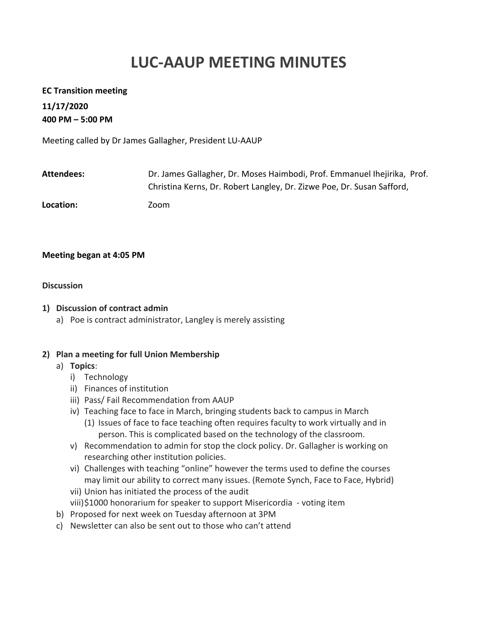# **LUC-AAUP MEETING MINUTES**

#### **EC Transition meeting**

**11/17/2020 400 PM – 5:00 PM**

Meeting called by Dr James Gallagher, President LU-AAUP

| Attendees: | Dr. James Gallagher, Dr. Moses Haimbodi, Prof. Emmanuel Ihejirika, Prof. |
|------------|--------------------------------------------------------------------------|
|            | Christina Kerns, Dr. Robert Langley, Dr. Zizwe Poe, Dr. Susan Safford,   |
| Location:  | Zoom                                                                     |

#### **Meeting began at 4:05 PM**

#### **Discussion**

#### **1) Discussion of contract admin**

a) Poe is contract administrator, Langley is merely assisting

## **2) Plan a meeting for full Union Membership**

## a) **Topics**:

- i) Technology
- ii) Finances of institution
- iii) Pass/ Fail Recommendation from AAUP
- iv) Teaching face to face in March, bringing students back to campus in March (1) Issues of face to face teaching often requires faculty to work virtually and in person. This is complicated based on the technology of the classroom.
- v) Recommendation to admin for stop the clock policy. Dr. Gallagher is working on researching other institution policies.
- vi) Challenges with teaching "online" however the terms used to define the courses may limit our ability to correct many issues. (Remote Synch, Face to Face, Hybrid)
- vii) Union has initiated the process of the audit
- viii)\$1000 honorarium for speaker to support Misericordia voting item
- b) Proposed for next week on Tuesday afternoon at 3PM
- c) Newsletter can also be sent out to those who can't attend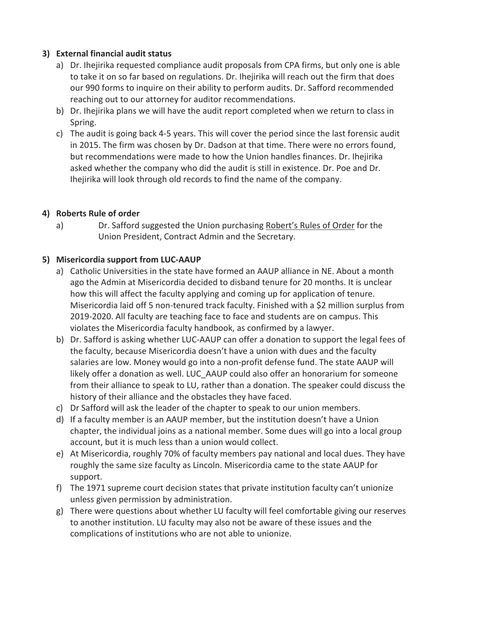## **3) External financial audit status**

- a) Dr. Ihejirika requested compliance audit proposals from CPA firms, but only one is able to take it on so far based on regulations. Dr. Ihejirika will reach out the firm that does our 990 forms to inquire on their ability to perform audits. Dr. Safford recommended reaching out to our attorney for auditor recommendations.
- b) Dr. Ihejirika plans we will have the audit report completed when we return to class in Spring.
- c) The audit is going back 4-5 years. This will cover the period since the last forensic audit in 2015. The firm was chosen by Dr. Dadson at that time. There were no errors found, but recommendations were made to how the Union handles finances. Dr. Ihejirika asked whether the company who did the audit is still in existence. Dr. Poe and Dr. Ihejirika will look through old records to find the name of the company.

# **4) Roberts Rule of order**

a) Dr. Safford suggested the Union purchasing Robert's Rules of Order for the Union President, Contract Admin and the Secretary.

# **5) Misericordia support from LUC-AAUP**

- a) Catholic Universities in the state have formed an AAUP alliance in NE. About a month ago the Admin at Misericordia decided to disband tenure for 20 months. It is unclear how this will affect the faculty applying and coming up for application of tenure. Misericordia laid off 5 non-tenured track faculty. Finished with a \$2 million surplus from 2019-2020. All faculty are teaching face to face and students are on campus. This violates the Misericordia faculty handbook, as confirmed by a lawyer.
- b) Dr. Safford is asking whether LUC-AAUP can offer a donation to support the legal fees of the faculty, because Misericordia doesn't have a union with dues and the faculty salaries are low. Money would go into a non-profit defense fund. The state AAUP will likely offer a donation as well. LUC\_AAUP could also offer an honorarium for someone from their alliance to speak to LU, rather than a donation. The speaker could discuss the history of their alliance and the obstacles they have faced.
- c) Dr Safford will ask the leader of the chapter to speak to our union members.
- d) If a faculty member is an AAUP member, but the institution doesn't have a Union chapter, the individual joins as a national member. Some dues will go into a local group account, but it is much less than a union would collect.
- e) At Misericordia, roughly 70% of faculty members pay national and local dues. They have roughly the same size faculty as Lincoln. Misericordia came to the state AAUP for support.
- f) The 1971 supreme court decision states that private institution faculty can't unionize unless given permission by administration.
- g) There were questions about whether LU faculty will feel comfortable giving our reserves to another institution. LU faculty may also not be aware of these issues and the complications of institutions who are not able to unionize.